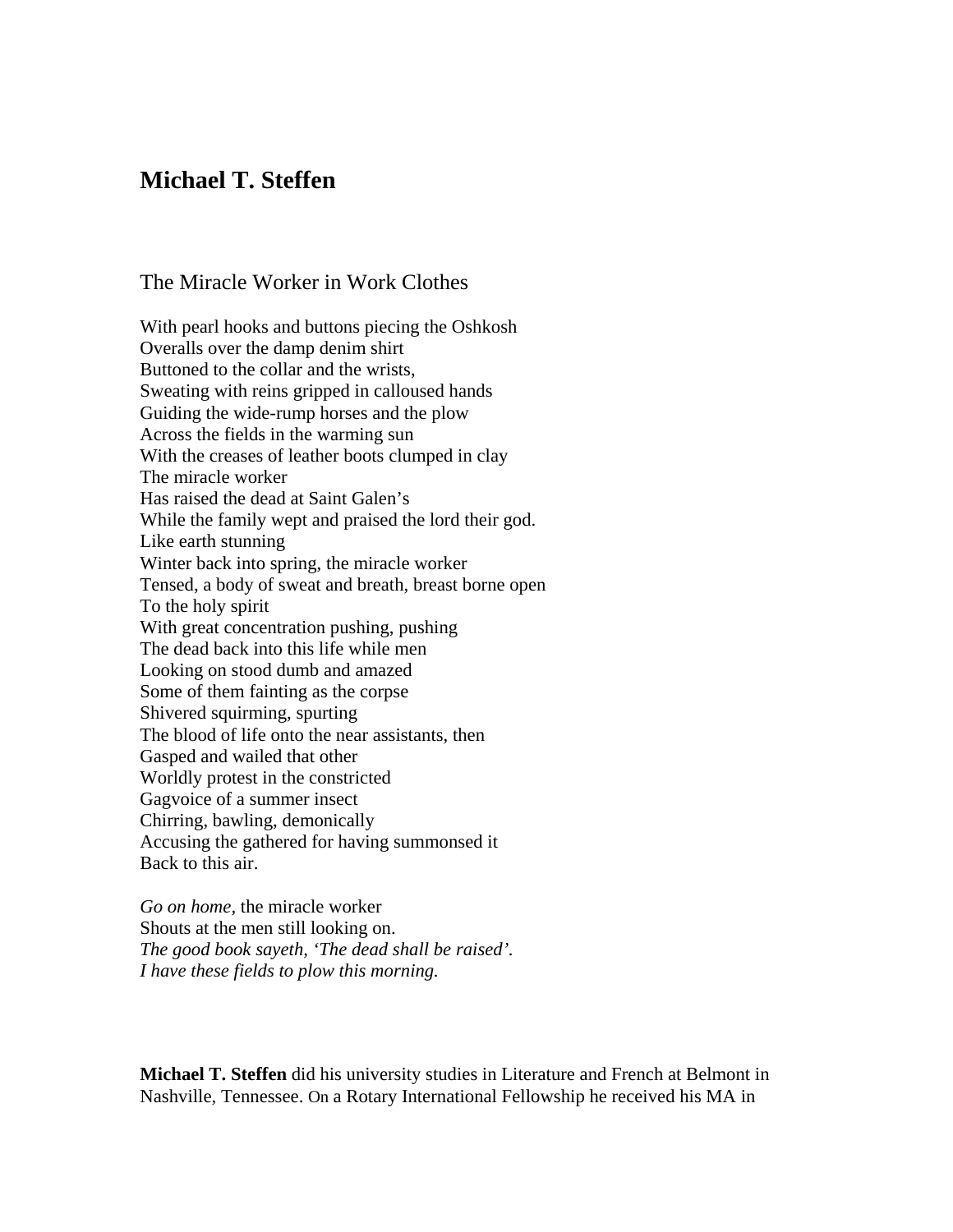## **Michael T. Steffen**

The Miracle Worker in Work Clothes

With pearl hooks and buttons piecing the Oshkosh Overalls over the damp denim shirt Buttoned to the collar and the wrists, Sweating with reins gripped in calloused hands Guiding the wide-rump horses and the plow Across the fields in the warming sun With the creases of leather boots clumped in clay The miracle worker Has raised the dead at Saint Galen's While the family wept and praised the lord their god. Like earth stunning Winter back into spring, the miracle worker Tensed, a body of sweat and breath, breast borne open To the holy spirit With great concentration pushing, pushing The dead back into this life while men Looking on stood dumb and amazed Some of them fainting as the corpse Shivered squirming, spurting The blood of life onto the near assistants, then Gasped and wailed that other Worldly protest in the constricted Gagvoice of a summer insect Chirring, bawling, demonically Accusing the gathered for having summonsed it Back to this air.

*Go on home,* the miracle worker Shouts at the men still looking on. *The good book sayeth, 'The dead shall be raised'. I have these fields to plow this morning.*

**Michael T. Steffen** did his university studies in Literature and French at Belmont in Nashville, Tennessee. On a Rotary International Fellowship he received his MA in